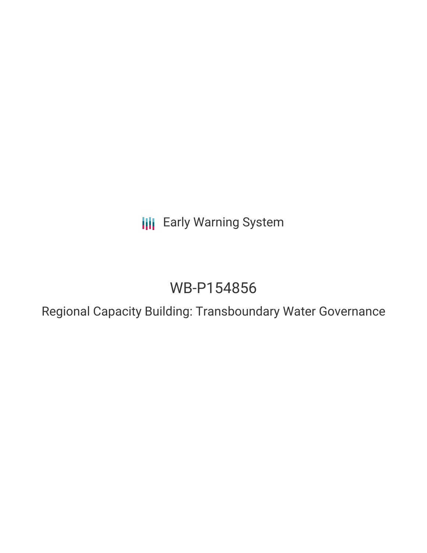**III** Early Warning System

# WB-P154856

Regional Capacity Building: Transboundary Water Governance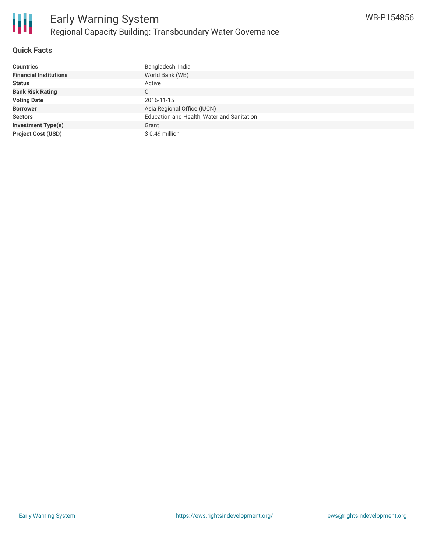

### **Quick Facts**

| <b>Countries</b>              | Bangladesh, India                          |
|-------------------------------|--------------------------------------------|
| <b>Financial Institutions</b> | World Bank (WB)                            |
| <b>Status</b>                 | Active                                     |
| <b>Bank Risk Rating</b>       | С                                          |
| <b>Voting Date</b>            | 2016-11-15                                 |
| <b>Borrower</b>               | Asia Regional Office (IUCN)                |
| <b>Sectors</b>                | Education and Health, Water and Sanitation |
| <b>Investment Type(s)</b>     | Grant                                      |
| <b>Project Cost (USD)</b>     | $$0.49$ million                            |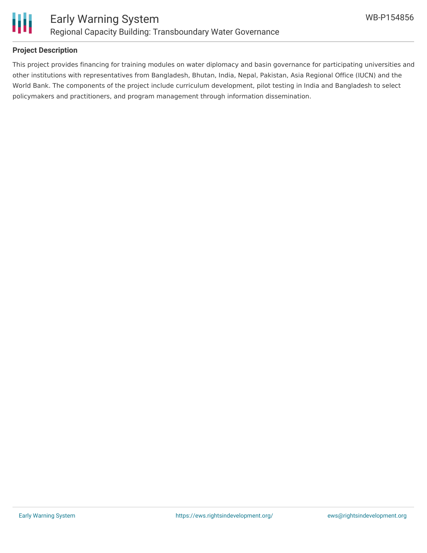

### **Project Description**

This project provides financing for training modules on water diplomacy and basin governance for participating universities and other institutions with representatives from Bangladesh, Bhutan, India, Nepal, Pakistan, Asia Regional Office (IUCN) and the World Bank. The components of the project include curriculum development, pilot testing in India and Bangladesh to select policymakers and practitioners, and program management through information dissemination.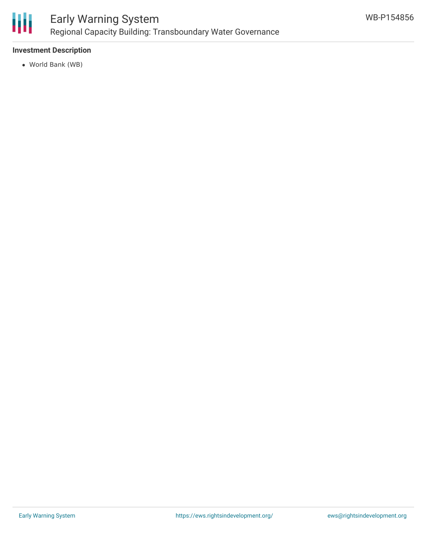

## **Investment Description**

World Bank (WB)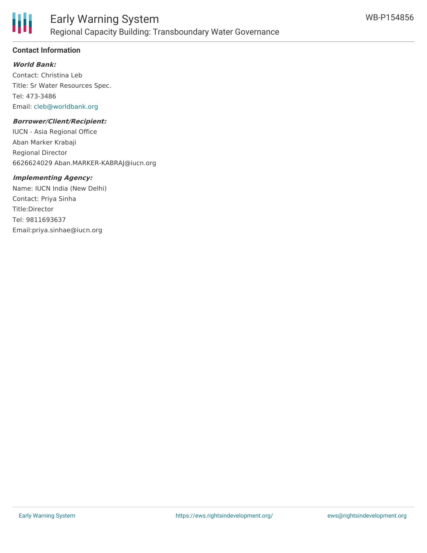

# **Contact Information**

**World Bank:**

Contact: Christina Leb Title: Sr Water Resources Spec. Tel: 473-3486 Email: [cleb@worldbank.org](mailto:cleb@worldbank.org)

#### **Borrower/Client/Recipient:**

IUCN - Asia Regional Office Aban Marker Krabaji Regional Director 6626624029 Aban.MARKER-KABRAJ@iucn.org

#### **Implementing Agency:**

Name: IUCN India (New Delhi) Contact: Priya Sinha Title:Director Tel: 9811693637 Email:priya.sinhae@iucn.org